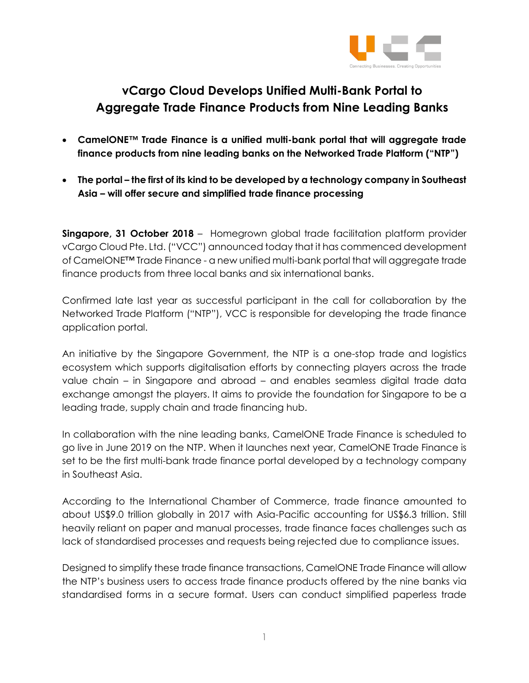

## **vCargo Cloud Develops Unified Multi-Bank Portal to Aggregate Trade Finance Products from Nine Leading Banks**

- **CamelONE™ Trade Finance is a unified multi-bank portal that will aggregate trade finance products from nine leading banks on the Networked Trade Platform ("NTP")**
- The portal the first of its kind to be developed by a technology company in Southeast **Asia – will offer secure and simplified trade finance processing**

**Singapore, 31 October 2018** – Homegrown global trade facilitation platform provider vCargo Cloud Pte. Ltd. ("VCC") announced today that it has commenced development of CamelONE™ Trade Finance - a new unified multi-bank portal that will aggregate trade finance products from three local banks and six international banks.

Confirmed late last year as successful participant in the call for collaboration by the Networked Trade Platform ("NTP"), VCC is responsible for developing the trade finance application portal.

An initiative by the Singapore Government, the NTP is a one-stop trade and logistics ecosystem which supports digitalisation efforts by connecting players across the trade value chain – in Singapore and abroad – and enables seamless digital trade data exchange amongst the players. It aims to provide the foundation for Singapore to be a leading trade, supply chain and trade financing hub.

In collaboration with the nine leading banks, CamelONE Trade Finance is scheduled to go live in June 2019 on the NTP. When it launches next year, CamelONE Trade Finance is set to be the first multi-bank trade finance portal developed by a technology company in Southeast Asia.

According to the International Chamber of Commerce, trade finance amounted to about US\$9.0 trillion globally in 2017 with Asia-Pacific accounting for US\$6.3 trillion. Still heavily reliant on paper and manual processes, trade finance faces challenges such as lack of standardised processes and requests being rejected due to compliance issues.

Designed to simplify these trade finance transactions, CamelONE Trade Finance will allow the NTP's business users to access trade finance products offered by the nine banks via standardised forms in a secure format. Users can conduct simplified paperless trade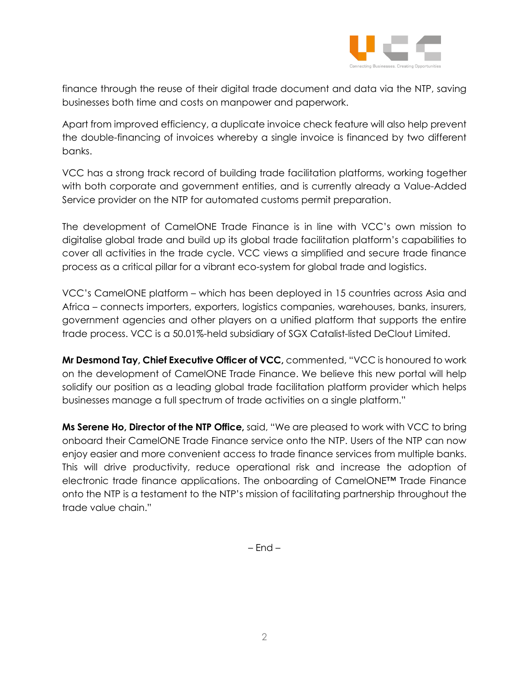

finance through the reuse of their digital trade document and data via the NTP, saving businesses both time and costs on manpower and paperwork.

Apart from improved efficiency, a duplicate invoice check feature will also help prevent the double-financing of invoices whereby a single invoice is financed by two different banks.

VCC has a strong track record of building trade facilitation platforms, working together with both corporate and government entities, and is currently already a Value-Added Service provider on the NTP for automated customs permit preparation.

The development of CamelONE Trade Finance is in line with VCC's own mission to digitalise global trade and build up its global trade facilitation platform's capabilities to cover all activities in the trade cycle. VCC views a simplified and secure trade finance process as a critical pillar for a vibrant eco-system for global trade and logistics.

VCC's CamelONE platform – which has been deployed in 15 countries across Asia and Africa – connects importers, exporters, logistics companies, warehouses, banks, insurers, government agencies and other players on a unified platform that supports the entire trade process. VCC is a 50.01%-held subsidiary of SGX Catalist-listed DeClout Limited.

**Mr Desmond Tay, Chief Executive Officer of VCC,** commented, "VCC is honoured to work on the development of CamelONE Trade Finance. We believe this new portal will help solidify our position as a leading global trade facilitation platform provider which helps businesses manage a full spectrum of trade activities on a single platform."

**Ms Serene Ho, Director of the NTP Office,** said, "We are pleased to work with VCC to bring onboard their CamelONE Trade Finance service onto the NTP. Users of the NTP can now enjoy easier and more convenient access to trade finance services from multiple banks. This will drive productivity, reduce operational risk and increase the adoption of electronic trade finance applications. The onboarding of CamelONE™ Trade Finance onto the NTP is a testament to the NTP's mission of facilitating partnership throughout the trade value chain."

 $-$  End  $-$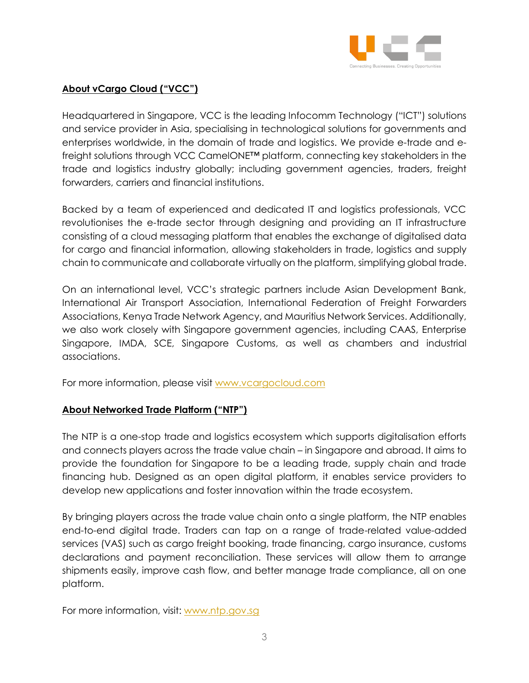

## **About vCargo Cloud ("VCC")**

Headquartered in Singapore, VCC is the leading Infocomm Technology ("ICT") solutions and service provider in Asia, specialising in technological solutions for governments and enterprises worldwide, in the domain of trade and logistics. We provide e-trade and efreight solutions through VCC CamelONE™ platform, connecting key stakeholders in the trade and logistics industry globally; including government agencies, traders, freight forwarders, carriers and financial institutions.

Backed by a team of experienced and dedicated IT and logistics professionals, VCC revolutionises the e-trade sector through designing and providing an IT infrastructure consisting of a cloud messaging platform that enables the exchange of digitalised data for cargo and financial information, allowing stakeholders in trade, logistics and supply chain to communicate and collaborate virtually on the platform, simplifying global trade.

On an international level, VCC's strategic partners include Asian Development Bank, International Air Transport Association, International Federation of Freight Forwarders Associations, Kenya Trade Network Agency, and Mauritius Network Services. Additionally, we also work closely with Singapore government agencies, including CAAS, Enterprise Singapore, IMDA, SCE, Singapore Customs, as well as chambers and industrial associations.

For more information, please visit [www.vcargocloud.com](http://www.vcargocloud.com/)

## **About Networked Trade Platform ("NTP")**

The NTP is a one-stop trade and logistics ecosystem which supports digitalisation efforts and connects players across the trade value chain – in Singapore and abroad. It aims to provide the foundation for Singapore to be a leading trade, supply chain and trade financing hub. Designed as an open digital platform, it enables service providers to develop new applications and foster innovation within the trade ecosystem.

By bringing players across the trade value chain onto a single platform, the NTP enables end-to-end digital trade. Traders can tap on a range of trade-related value-added services (VAS) such as cargo freight booking, trade financing, cargo insurance, customs declarations and payment reconciliation. These services will allow them to arrange shipments easily, improve cash flow, and better manage trade compliance, all on one platform.

For more information, visit: [www.ntp.gov.sg](http://www.ntp.gov.sg/)